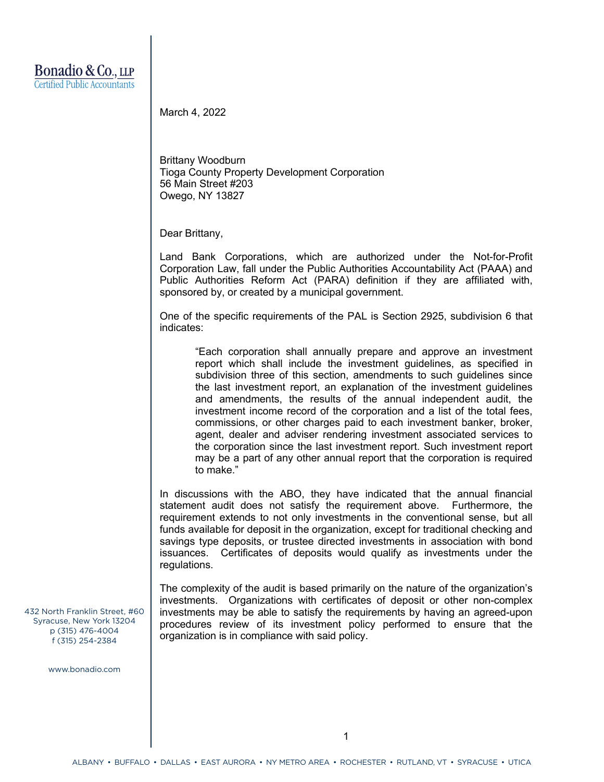March 4, 2022

Brittany Woodburn Tioga County Property Development Corporation 56 Main Street #203 Owego, NY 13827

Dear Brittany,

Land Bank Corporations, which are authorized under the Not-for-Profit Corporation Law, fall under the Public Authorities Accountability Act (PAAA) and Public Authorities Reform Act (PARA) definition if they are affiliated with, sponsored by, or created by a municipal government.

One of the specific requirements of the PAL is Section 2925, subdivision 6 that indicates:

"Each corporation shall annually prepare and approve an investment report which shall include the investment guidelines, as specified in subdivision three of this section, amendments to such guidelines since the last investment report, an explanation of the investment guidelines and amendments, the results of the annual independent audit, the investment income record of the corporation and a list of the total fees, commissions, or other charges paid to each investment banker, broker, agent, dealer and adviser rendering investment associated services to the corporation since the last investment report. Such investment report may be a part of any other annual report that the corporation is required to make."

In discussions with the ABO, they have indicated that the annual financial statement audit does not satisfy the requirement above. Furthermore, the requirement extends to not only investments in the conventional sense, but all funds available for deposit in the organization, except for traditional checking and savings type deposits, or trustee directed investments in association with bond issuances. Certificates of deposits would qualify as investments under the regulations.

The complexity of the audit is based primarily on the nature of the organization's investments. Organizations with certificates of deposit or other non-complex investments may be able to satisfy the requirements by having an agreed-upon procedures review of its investment policy performed to ensure that the organization is in compliance with said policy.

432 North Franklin Street, #60 Syracuse, New York 13204 p (315) 476-4004 f (315) 254-2384

www.bonadio.com